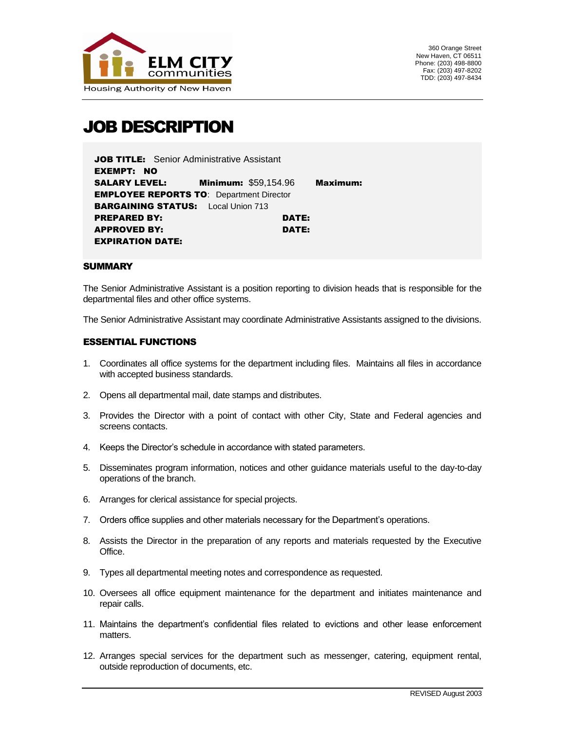

# JOB DESCRIPTION

| JOB TITLE: Senior Administrative Assistant      |                                           |          |
|-------------------------------------------------|-------------------------------------------|----------|
| EXEMPT: NO                                      |                                           |          |
|                                                 | <b>SALARY LEVEL: Minimum: \$59,154.96</b> | Maximum: |
| <b>EMPLOYEE REPORTS TO: Department Director</b> |                                           |          |
| <b>BARGAINING STATUS:</b> Local Union 713       |                                           |          |
| <b>PREPARED BY:</b>                             | DATE:                                     |          |
| APPROVED BY:                                    | DATE:                                     |          |
| <b>EXPIRATION DATE:</b>                         |                                           |          |

#### **SUMMARY**

The Senior Administrative Assistant is a position reporting to division heads that is responsible for the departmental files and other office systems.

The Senior Administrative Assistant may coordinate Administrative Assistants assigned to the divisions.

#### ESSENTIAL FUNCTIONS

- 1. Coordinates all office systems for the department including files. Maintains all files in accordance with accepted business standards.
- 2. Opens all departmental mail, date stamps and distributes.
- 3. Provides the Director with a point of contact with other City, State and Federal agencies and screens contacts.
- 4. Keeps the Director's schedule in accordance with stated parameters.
- 5. Disseminates program information, notices and other guidance materials useful to the day-to-day operations of the branch.
- 6. Arranges for clerical assistance for special projects.
- 7. Orders office supplies and other materials necessary for the Department's operations.
- 8. Assists the Director in the preparation of any reports and materials requested by the Executive Office.
- 9. Types all departmental meeting notes and correspondence as requested.
- 10. Oversees all office equipment maintenance for the department and initiates maintenance and repair calls.
- 11. Maintains the department's confidential files related to evictions and other lease enforcement matters.
- 12. Arranges special services for the department such as messenger, catering, equipment rental, outside reproduction of documents, etc.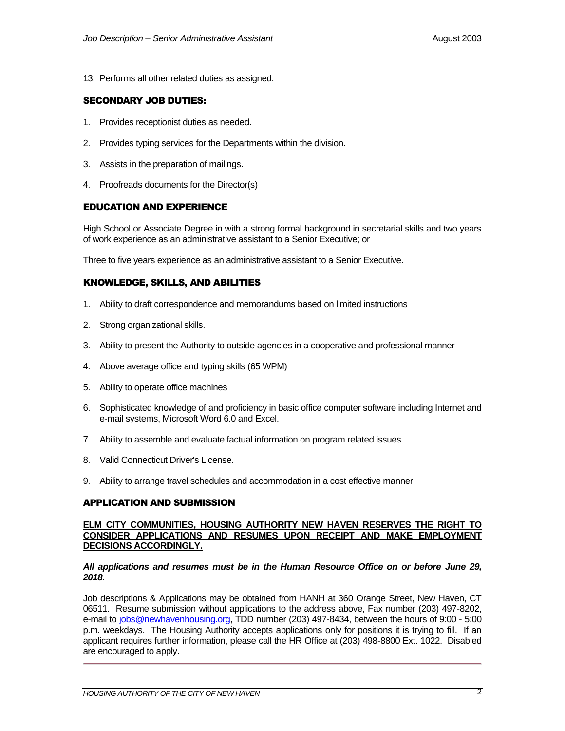13. Performs all other related duties as assigned.

## SECONDARY JOB DUTIES:

- 1. Provides receptionist duties as needed.
- 2. Provides typing services for the Departments within the division.
- 3. Assists in the preparation of mailings.
- 4. Proofreads documents for the Director(s)

### EDUCATION AND EXPERIENCE

High School or Associate Degree in with a strong formal background in secretarial skills and two years of work experience as an administrative assistant to a Senior Executive; or

Three to five years experience as an administrative assistant to a Senior Executive.

# KNOWLEDGE, SKILLS, AND ABILITIES

- 1. Ability to draft correspondence and memorandums based on limited instructions
- 2. Strong organizational skills.
- 3. Ability to present the Authority to outside agencies in a cooperative and professional manner
- 4. Above average office and typing skills (65 WPM)
- 5. Ability to operate office machines
- 6. Sophisticated knowledge of and proficiency in basic office computer software including Internet and e-mail systems, Microsoft Word 6.0 and Excel.
- 7. Ability to assemble and evaluate factual information on program related issues
- 8. Valid Connecticut Driver's License.
- 9. Ability to arrange travel schedules and accommodation in a cost effective manner

# APPLICATION AND SUBMISSION

#### **ELM CITY COMMUNITIES, HOUSING AUTHORITY NEW HAVEN RESERVES THE RIGHT TO CONSIDER APPLICATIONS AND RESUMES UPON RECEIPT AND MAKE EMPLOYMENT DECISIONS ACCORDINGLY.**

#### *All applications and resumes must be in the Human Resource Office on or before June 29, 2018***.**

Job descriptions & Applications may be obtained from HANH at 360 Orange Street, New Haven, CT 06511. Resume submission without applications to the address above, Fax number (203) 497-8202, e-mail to [jobs@newhavenhousing.org,](mailto:jobs@newhavenhousing.org) TDD number (203) 497-8434, between the hours of 9:00 - 5:00 p.m. weekdays. The Housing Authority accepts applications only for positions it is trying to fill. If an applicant requires further information, please call the HR Office at (203) 498-8800 Ext. 1022. Disabled are encouraged to apply.